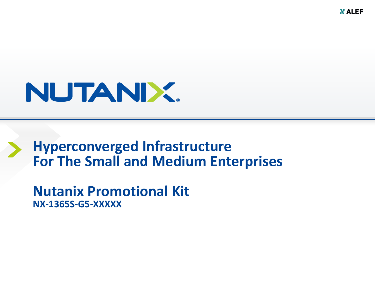**X ALEF** 

# NUTANIX.

# **Hyperconverged Infrastructure For The Small and Medium Enterprises**

**Nutanix Promotional Kit NX-1365S-G5-XXXXX**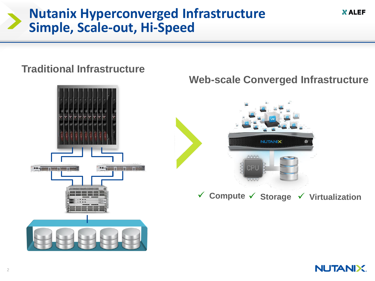## **Nutanix Hyperconverged Infrastructure Simple, Scale-out, Hi-Speed**

**Traditional Infrastructure**

# **Web-scale Converged Infrastructure NUTANIX** standard 37 meters of anti-standard self-**Compute Storage Virtualization**

**XALEF** 

**NUTANIX.** 

#### 2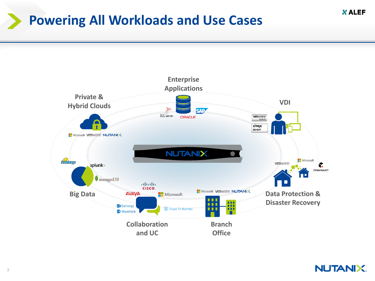# **Powering All Workloads and Use Cases**



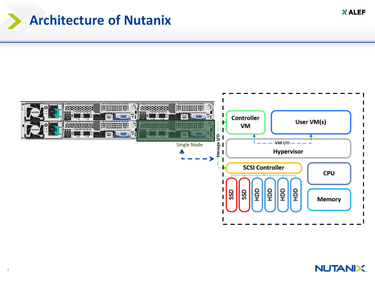# **Architecture of Nutanix**



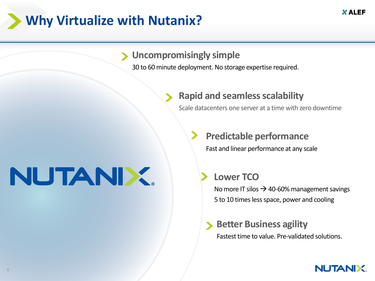# **Why Virtualize with Nutanix?**

### **Uncompromisingly simple**

30 to 60 minute deployment. No storage expertise required.

### **Rapid, risk- free scale Rapid and seamless scalability**

Scale datacenters one server at a time with zero downtime

### **Predictable performance**

Fast and linear performance at any scale

### **Lower TCO**

No more IT silos  $\rightarrow$  40-60% management savings 5 to 10 times less space, power and cooling

## **Better Business agility**

Fastest time to value. Pre-validated solutions.

#### **NUTANIX.**

# NUTANIX.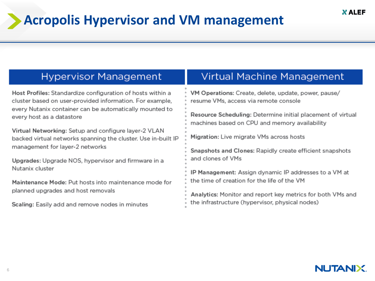# **Acropolis Hypervisor and VM management**

### **Hypervisor Management**

Host Profiles: Standardize configuration of hosts within a cluster based on user-provided information. For example, every Nutanix container can be automatically mounted to every host as a datastore

Virtual Networking: Setup and configure layer-2 VLAN backed virtual networks spanning the cluster. Use in-built IP management for layer-2 networks

Upgrades: Upgrade NOS, hypervisor and firmware in a Nutanix cluster

Maintenance Mode: Put hosts into maintenance mode for planned upgrades and host removals

Scaling: Easily add and remove nodes in minutes

### **Virtual Machine Management**

VM Operations: Create, delete, update, power, pause/ resume VMs, access via remote console

Resource Scheduling: Determine initial placement of virtual machines based on CPU and memory availability

Migration: Live migrate VMs across hosts

Snapshots and Clones: Rapidly create efficient snapshots and clones of VMs

IP Management: Assign dynamic IP addresses to a VM at the time of creation for the life of the VM

Analytics: Monitor and report key metrics for both VMs and the infrastructure (hypervisor, physical nodes)

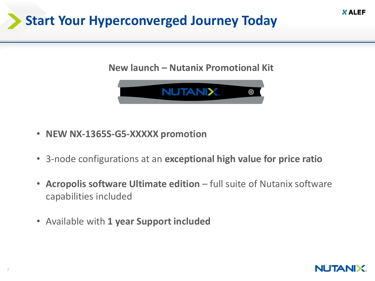# **Start Your Hyperconverged Journey Today**

### **New launch – Nutanix Promotional Kit**



- **NEW NX-1365S-G5-XXXXX promotion**
- 3-node configurations at an **exceptional high value for price ratio**
- **Acropolis software Ultimate edition**  full suite of Nutanix software capabilities included
- Available with **1 year Support included**

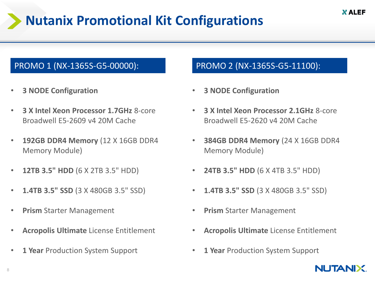# **Nutanix Promotional Kit Configurations**

#### PROMO 1 (NX-1365S-G5-00000): PROMO 2 (NX-1365S-G5-11100):

- **3 NODE Configuration**
- **3 X Intel Xeon Processor 1.7GHz** 8-core Broadwell E5-2609 v4 20M Cache
- **192GB DDR4 Memory** (12 X 16GB DDR4 Memory Module)
- **12TB 3.5" HDD** (6 X 2TB 3.5" HDD)
- **1.4TB 3.5" SSD** (3 X 480GB 3.5" SSD)
- **Prism** Starter Management
- **Acropolis Ultimate** License Entitlement
- **1 Year** Production System Support

- **3 NODE Configuration**
- **3 X Intel Xeon Processor 2.1GHz** 8-core Broadwell E5-2620 v4 20M Cache
- **384GB DDR4 Memory** (24 X 16GB DDR4 Memory Module)
- **24TB 3.5" HDD** (6 X 4TB 3.5" HDD)
- **1.4TB 3.5" SSD** (3 X 480GB 3.5" SSD)
- **Prism** Starter Management
- **Acropolis Ultimate** License Entitlement
- **1 Year** Production System Support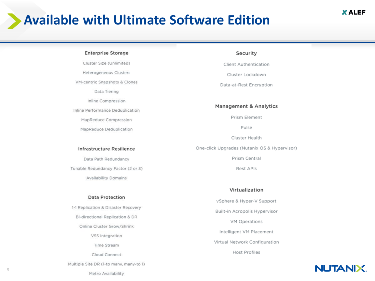# **Available with Ultimate Software Edition**

#### **Enterprise Storage**

Cluster Size (Unlimited) Heterogeneous Clusters VM-centric Snapshots & Clones Data Tiering

Inline Compression

Inline Performance Deduplication

MapReduce Compression

MapReduce Deduplication

#### Infrastructure Resilience

Data Path Redundancy Tunable Redundancy Factor (2 or 3) Availability Domains

#### **Data Protection**

1-1 Replication & Disaster Recovery Bi-directional Replication & DR Online Cluster Grow/Shrink VSS Integration Time Stream Cloud Connect

Multiple Site DR (1-to many, many-to 1)

#### Security

Client Authentication

Cluster Lockdown

Data-at-Rest Encryption

#### **Management & Analytics**

Prism Element

Pulse

Cluster Health

One-click Upgrades (Nutanix OS & Hypervisor)

Prism Central

Rest APIs

#### Virtualization

vSphere & Hyper-V Support Built-in Acropolis Hypervisor VM Operations Intelligent VM Placement Virtual Network Configuration

Host Profiles

#### **NUTANIX.**

Metro Availability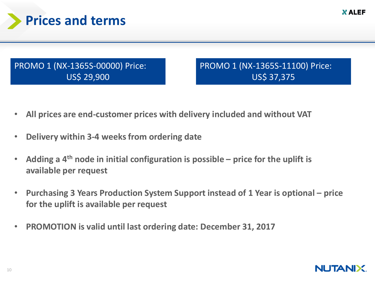

### PROMO 1 (NX-1365S-00000) Price: US\$ 29,900

PROMO 1 (NX-1365S-11100) Price: US\$ 37,375

- **All prices are end-customer prices with delivery included and without VAT**
- **Delivery within 3-4 weeks from ordering date**
- **Adding a 4th node in initial configuration is possible – price for the uplift is available per request**
- **Purchasing 3 Years Production System Support instead of 1 Year is optional – price for the uplift is available per request**
- **PROMOTION is valid until last ordering date: December 31, 2017**